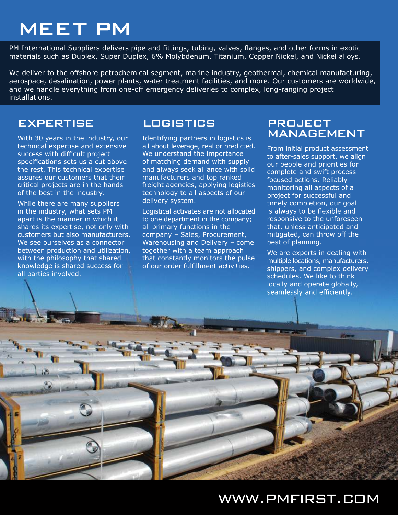## MEET PM

PM International Suppliers delivers pipe and fittings, tubing, valves, flanges, and other forms in exotic materials such as Duplex, Super Duplex, 6% Molybdenum, Titanium, Copper Nickel, and Nickel alloys.

We deliver to the offshore petrochemical segment, marine industry, geothermal, chemical manufacturing, aerospace, desalination, power plants, water treatment facilities, and more. Our customers are worldwide, and we handle everything from one-off emergency deliveries to complex, long-ranging project installations.

#### EXPERTISE

With 30 years in the industry, our technical expertise and extensive<br>success with difficult project specifications sets us a cut above the rest. This technical expertise assures our customers that their critical projects are in the hands of the best in the industry.

While there are many suppliers in the industry, what sets PM apart is the manner in which it shares its expertise, not only with customers but also manufacturers. We see ourselves as a connector between production and utilization, with the philosophy that shared knowledge is shared success for all parties involved.

#### LOGISTICS

Identifying partners in logistics is all about leverage, real or predicted. We understand the importance of matching demand with supply and always seek alliance with solid manufacturers and top ranked freight agencies, applying logistics technology to all aspects of our delivery system.

Logistical activates are not allocated to one department in the company; all primary functions in the company – Sales, Procurement, Warehousing and Delivery – come together with a team approach that constantly monitors the pulse<br>of our order fulfillment activities.

#### **PROJECT** MANAGEMENT

From initial product assessment to after-sales support, we align our people and priorities for complete and swift processfocused actions. Reliably monitoring all aspects of a project for successful and timely completion, our goal is always to be flexible and responsive to the unforeseen that, unless anticipated and mitigated, can throw off the best of planning.

We are experts in dealing with multiple locations, manufacturers, shippers, and complex delivery schedules. We like to think locally and operate globally, seamlessly and efficiently.

### www.pmfirst.com